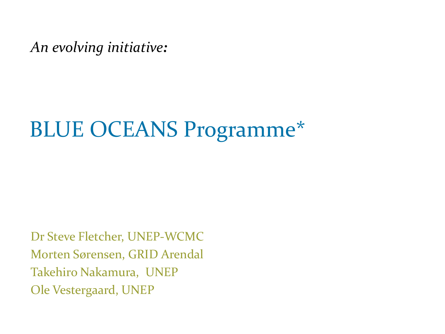*An evolving initiative:*

# BLUE OCEANS Programme\*

Dr Steve Fletcher, UNEP-WCMC Morten Sørensen, GRID Arendal Takehiro Nakamura, UNEP Ole Vestergaard, UNEP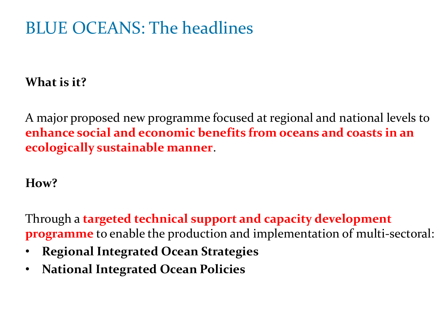## BLUE OCEANS: The headlines

### **What is it?**

A major proposed new programme focused at regional and national levels to **enhance social and economic benefits from oceans and coasts in an ecologically sustainable manner**.

#### **How?**

Through a **targeted technical support and capacity development programme** to enable the production and implementation of multi-sectoral:

- **Regional Integrated Ocean Strategies**
- **National Integrated Ocean Policies**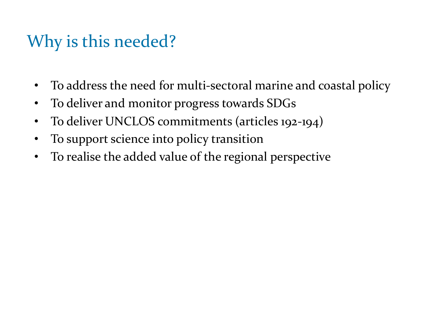## Why is this needed?

- To address the need for multi-sectoral marine and coastal policy
- To deliver and monitor progress towards SDGs
- To deliver UNCLOS commitments (articles 192-194)
- To support science into policy transition
- To realise the added value of the regional perspective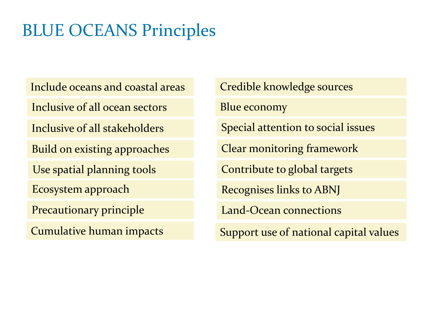## BLUE OCEANS Principles

Include oceans and coastal areas

Inclusive of all ocean sectors

Inclusive of all stakeholders

Build on existing approaches

Use spatial planning tools

Ecosystem approach

Precautionary principle

Credible knowledge sources

Blue economy

Special attention to social issues

Clear monitoring framework

Contribute to global targets

Recognises links to ABNJ

Land-Ocean connections

Cumulative human impacts Support use of national capital values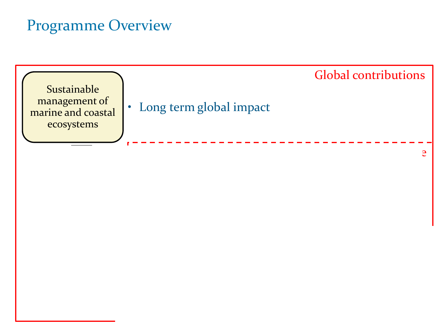### Programme Overview

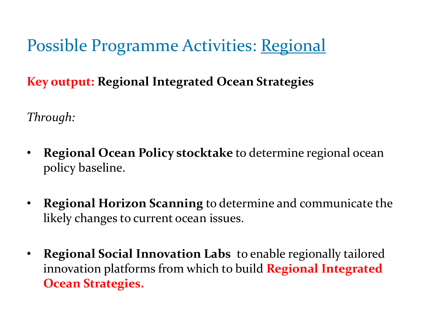Possible Programme Activities: Regional

**Key output: Regional Integrated Ocean Strategies**

*Through:*

- **Regional Ocean Policy stocktake** to determine regional ocean policy baseline.
- **Regional Horizon Scanning** to determine and communicate the likely changes to current ocean issues.
- **Regional Social Innovation Labs** to enable regionally tailored innovation platforms from which to build **Regional Integrated Ocean Strategies.**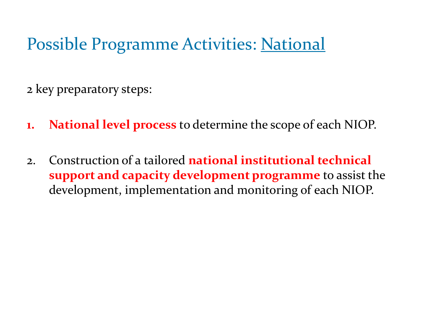## Possible Programme Activities: National

2 key preparatory steps:

- **1. National level process** to determine the scope of each NIOP.
- 2. Construction of a tailored **national institutional technical support and capacity development programme** to assist the development, implementation and monitoring of each NIOP.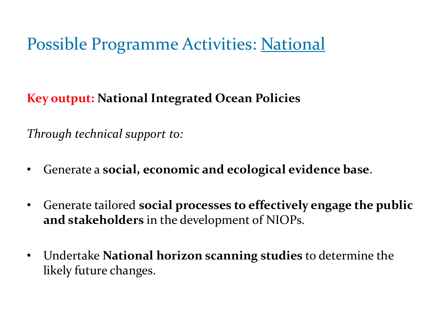# Possible Programme Activities: National

**Key output: National Integrated Ocean Policies** 

*Through technical support to:*

- Generate a **social, economic and ecological evidence base**.
- Generate tailored **social processes to effectively engage the public and stakeholders** in the development of NIOPs.
- Undertake **National horizon scanning studies** to determine the likely future changes.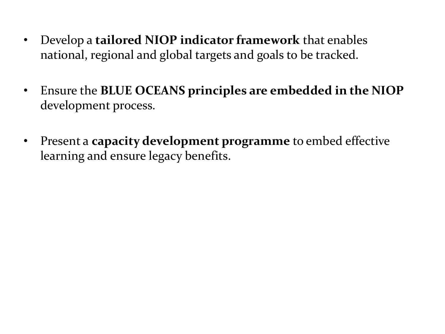- Develop a **tailored NIOP indicator framework** that enables national, regional and global targets and goals to be tracked.
- Ensure the **BLUE OCEANS principles are embedded in the NIOP**  development process.
- Present a **capacity development programme** to embed effective learning and ensure legacy benefits.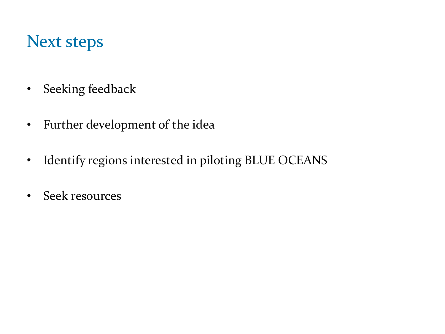### Next steps

- Seeking feedback
- Further development of the idea
- Identify regions interested in piloting BLUE OCEANS
- Seek resources